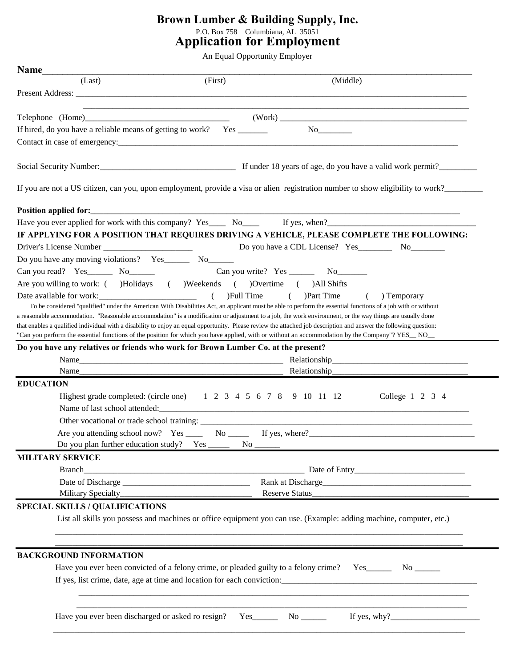## **Brown Lumber & Building Supply, Inc.** P.O. Box 758 Columbiana, AL 35051 **Application for Employment**

An Equal Opportunity Employer

| (Last)<br>(Middle)<br>(First)<br>(Work)<br>If hired, do you have a reliable means of getting to work? Yes _______<br>Social Security Number:<br><u>Letting and the security Number:</u> Containing the security Number: Containing the security Number: Containing the security of the second security of the second of the second second second second se<br>If you are not a US citizen, can you, upon employment, provide a visa or alien registration number to show eligibility to work?<br>Have you ever applied for work with this company? Yes Now Mo If yes, when?<br>IF APPLYING FOR A POSITION THAT REQUIRES DRIVING A VEHICLE, PLEASE COMPLETE THE FOLLOWING:<br>Do you have any moving violations? Yes________ No_______<br>Can you read? Yes_________ No_______<br>Are you willing to work: ( )Holidays ( )Weekends ( )Overtime ( )All Shifts<br>Date available for work: (<br>)Full Time<br>$($ )Part Time<br>$\left($<br>To be considered "qualified" under the American With Disabilities Act, an applicant must be able to perform the essential functions of a job with or without<br>a reasonable accommodation. "Reasonable accommodation" is a modification or adjustment to a job, the work environment, or the way things are usually done<br>that enables a qualified individual with a disability to enjoy an equal opportunity. Please review the attached job description and answer the following question:<br>"Can you perform the essential functions of the position for which you have applied, with or without an accommodation by the Company"? YES_NO_<br>Do you have any relatives or friends who work for Brown Lumber Co. at the present?<br>Relationship_______<br><b>EDUCATION</b><br>Highest grade completed: (circle one) 1 2 3 4 5 6 7 8 9 10 11 12<br>Do you plan further education study? Yes _________ No ________<br><b>MILITARY SERVICE</b><br>Branch<br><b>SPECIAL SKILLS / QUALIFICATIONS</b><br>List all skills you possess and machines or office equipment you can use. (Example: adding machine, computer, etc.) |                 |  |  |
|-------------------------------------------------------------------------------------------------------------------------------------------------------------------------------------------------------------------------------------------------------------------------------------------------------------------------------------------------------------------------------------------------------------------------------------------------------------------------------------------------------------------------------------------------------------------------------------------------------------------------------------------------------------------------------------------------------------------------------------------------------------------------------------------------------------------------------------------------------------------------------------------------------------------------------------------------------------------------------------------------------------------------------------------------------------------------------------------------------------------------------------------------------------------------------------------------------------------------------------------------------------------------------------------------------------------------------------------------------------------------------------------------------------------------------------------------------------------------------------------------------------------------------------------------------------------------------------------------------------------------------------------------------------------------------------------------------------------------------------------------------------------------------------------------------------------------------------------------------------------------------------------------------------------------------------------------------------------------------------------------------------------------------------------------------------------------|-----------------|--|--|
|                                                                                                                                                                                                                                                                                                                                                                                                                                                                                                                                                                                                                                                                                                                                                                                                                                                                                                                                                                                                                                                                                                                                                                                                                                                                                                                                                                                                                                                                                                                                                                                                                                                                                                                                                                                                                                                                                                                                                                                                                                                                         |                 |  |  |
|                                                                                                                                                                                                                                                                                                                                                                                                                                                                                                                                                                                                                                                                                                                                                                                                                                                                                                                                                                                                                                                                                                                                                                                                                                                                                                                                                                                                                                                                                                                                                                                                                                                                                                                                                                                                                                                                                                                                                                                                                                                                         |                 |  |  |
|                                                                                                                                                                                                                                                                                                                                                                                                                                                                                                                                                                                                                                                                                                                                                                                                                                                                                                                                                                                                                                                                                                                                                                                                                                                                                                                                                                                                                                                                                                                                                                                                                                                                                                                                                                                                                                                                                                                                                                                                                                                                         |                 |  |  |
|                                                                                                                                                                                                                                                                                                                                                                                                                                                                                                                                                                                                                                                                                                                                                                                                                                                                                                                                                                                                                                                                                                                                                                                                                                                                                                                                                                                                                                                                                                                                                                                                                                                                                                                                                                                                                                                                                                                                                                                                                                                                         |                 |  |  |
|                                                                                                                                                                                                                                                                                                                                                                                                                                                                                                                                                                                                                                                                                                                                                                                                                                                                                                                                                                                                                                                                                                                                                                                                                                                                                                                                                                                                                                                                                                                                                                                                                                                                                                                                                                                                                                                                                                                                                                                                                                                                         |                 |  |  |
|                                                                                                                                                                                                                                                                                                                                                                                                                                                                                                                                                                                                                                                                                                                                                                                                                                                                                                                                                                                                                                                                                                                                                                                                                                                                                                                                                                                                                                                                                                                                                                                                                                                                                                                                                                                                                                                                                                                                                                                                                                                                         |                 |  |  |
|                                                                                                                                                                                                                                                                                                                                                                                                                                                                                                                                                                                                                                                                                                                                                                                                                                                                                                                                                                                                                                                                                                                                                                                                                                                                                                                                                                                                                                                                                                                                                                                                                                                                                                                                                                                                                                                                                                                                                                                                                                                                         |                 |  |  |
|                                                                                                                                                                                                                                                                                                                                                                                                                                                                                                                                                                                                                                                                                                                                                                                                                                                                                                                                                                                                                                                                                                                                                                                                                                                                                                                                                                                                                                                                                                                                                                                                                                                                                                                                                                                                                                                                                                                                                                                                                                                                         |                 |  |  |
|                                                                                                                                                                                                                                                                                                                                                                                                                                                                                                                                                                                                                                                                                                                                                                                                                                                                                                                                                                                                                                                                                                                                                                                                                                                                                                                                                                                                                                                                                                                                                                                                                                                                                                                                                                                                                                                                                                                                                                                                                                                                         |                 |  |  |
|                                                                                                                                                                                                                                                                                                                                                                                                                                                                                                                                                                                                                                                                                                                                                                                                                                                                                                                                                                                                                                                                                                                                                                                                                                                                                                                                                                                                                                                                                                                                                                                                                                                                                                                                                                                                                                                                                                                                                                                                                                                                         |                 |  |  |
|                                                                                                                                                                                                                                                                                                                                                                                                                                                                                                                                                                                                                                                                                                                                                                                                                                                                                                                                                                                                                                                                                                                                                                                                                                                                                                                                                                                                                                                                                                                                                                                                                                                                                                                                                                                                                                                                                                                                                                                                                                                                         |                 |  |  |
|                                                                                                                                                                                                                                                                                                                                                                                                                                                                                                                                                                                                                                                                                                                                                                                                                                                                                                                                                                                                                                                                                                                                                                                                                                                                                                                                                                                                                                                                                                                                                                                                                                                                                                                                                                                                                                                                                                                                                                                                                                                                         |                 |  |  |
|                                                                                                                                                                                                                                                                                                                                                                                                                                                                                                                                                                                                                                                                                                                                                                                                                                                                                                                                                                                                                                                                                                                                                                                                                                                                                                                                                                                                                                                                                                                                                                                                                                                                                                                                                                                                                                                                                                                                                                                                                                                                         |                 |  |  |
|                                                                                                                                                                                                                                                                                                                                                                                                                                                                                                                                                                                                                                                                                                                                                                                                                                                                                                                                                                                                                                                                                                                                                                                                                                                                                                                                                                                                                                                                                                                                                                                                                                                                                                                                                                                                                                                                                                                                                                                                                                                                         |                 |  |  |
|                                                                                                                                                                                                                                                                                                                                                                                                                                                                                                                                                                                                                                                                                                                                                                                                                                                                                                                                                                                                                                                                                                                                                                                                                                                                                                                                                                                                                                                                                                                                                                                                                                                                                                                                                                                                                                                                                                                                                                                                                                                                         |                 |  |  |
|                                                                                                                                                                                                                                                                                                                                                                                                                                                                                                                                                                                                                                                                                                                                                                                                                                                                                                                                                                                                                                                                                                                                                                                                                                                                                                                                                                                                                                                                                                                                                                                                                                                                                                                                                                                                                                                                                                                                                                                                                                                                         |                 |  |  |
|                                                                                                                                                                                                                                                                                                                                                                                                                                                                                                                                                                                                                                                                                                                                                                                                                                                                                                                                                                                                                                                                                                                                                                                                                                                                                                                                                                                                                                                                                                                                                                                                                                                                                                                                                                                                                                                                                                                                                                                                                                                                         | ) Temporary     |  |  |
|                                                                                                                                                                                                                                                                                                                                                                                                                                                                                                                                                                                                                                                                                                                                                                                                                                                                                                                                                                                                                                                                                                                                                                                                                                                                                                                                                                                                                                                                                                                                                                                                                                                                                                                                                                                                                                                                                                                                                                                                                                                                         |                 |  |  |
|                                                                                                                                                                                                                                                                                                                                                                                                                                                                                                                                                                                                                                                                                                                                                                                                                                                                                                                                                                                                                                                                                                                                                                                                                                                                                                                                                                                                                                                                                                                                                                                                                                                                                                                                                                                                                                                                                                                                                                                                                                                                         |                 |  |  |
|                                                                                                                                                                                                                                                                                                                                                                                                                                                                                                                                                                                                                                                                                                                                                                                                                                                                                                                                                                                                                                                                                                                                                                                                                                                                                                                                                                                                                                                                                                                                                                                                                                                                                                                                                                                                                                                                                                                                                                                                                                                                         |                 |  |  |
|                                                                                                                                                                                                                                                                                                                                                                                                                                                                                                                                                                                                                                                                                                                                                                                                                                                                                                                                                                                                                                                                                                                                                                                                                                                                                                                                                                                                                                                                                                                                                                                                                                                                                                                                                                                                                                                                                                                                                                                                                                                                         |                 |  |  |
|                                                                                                                                                                                                                                                                                                                                                                                                                                                                                                                                                                                                                                                                                                                                                                                                                                                                                                                                                                                                                                                                                                                                                                                                                                                                                                                                                                                                                                                                                                                                                                                                                                                                                                                                                                                                                                                                                                                                                                                                                                                                         |                 |  |  |
|                                                                                                                                                                                                                                                                                                                                                                                                                                                                                                                                                                                                                                                                                                                                                                                                                                                                                                                                                                                                                                                                                                                                                                                                                                                                                                                                                                                                                                                                                                                                                                                                                                                                                                                                                                                                                                                                                                                                                                                                                                                                         |                 |  |  |
|                                                                                                                                                                                                                                                                                                                                                                                                                                                                                                                                                                                                                                                                                                                                                                                                                                                                                                                                                                                                                                                                                                                                                                                                                                                                                                                                                                                                                                                                                                                                                                                                                                                                                                                                                                                                                                                                                                                                                                                                                                                                         |                 |  |  |
|                                                                                                                                                                                                                                                                                                                                                                                                                                                                                                                                                                                                                                                                                                                                                                                                                                                                                                                                                                                                                                                                                                                                                                                                                                                                                                                                                                                                                                                                                                                                                                                                                                                                                                                                                                                                                                                                                                                                                                                                                                                                         | College 1 2 3 4 |  |  |
|                                                                                                                                                                                                                                                                                                                                                                                                                                                                                                                                                                                                                                                                                                                                                                                                                                                                                                                                                                                                                                                                                                                                                                                                                                                                                                                                                                                                                                                                                                                                                                                                                                                                                                                                                                                                                                                                                                                                                                                                                                                                         |                 |  |  |
|                                                                                                                                                                                                                                                                                                                                                                                                                                                                                                                                                                                                                                                                                                                                                                                                                                                                                                                                                                                                                                                                                                                                                                                                                                                                                                                                                                                                                                                                                                                                                                                                                                                                                                                                                                                                                                                                                                                                                                                                                                                                         |                 |  |  |
|                                                                                                                                                                                                                                                                                                                                                                                                                                                                                                                                                                                                                                                                                                                                                                                                                                                                                                                                                                                                                                                                                                                                                                                                                                                                                                                                                                                                                                                                                                                                                                                                                                                                                                                                                                                                                                                                                                                                                                                                                                                                         |                 |  |  |
|                                                                                                                                                                                                                                                                                                                                                                                                                                                                                                                                                                                                                                                                                                                                                                                                                                                                                                                                                                                                                                                                                                                                                                                                                                                                                                                                                                                                                                                                                                                                                                                                                                                                                                                                                                                                                                                                                                                                                                                                                                                                         |                 |  |  |
|                                                                                                                                                                                                                                                                                                                                                                                                                                                                                                                                                                                                                                                                                                                                                                                                                                                                                                                                                                                                                                                                                                                                                                                                                                                                                                                                                                                                                                                                                                                                                                                                                                                                                                                                                                                                                                                                                                                                                                                                                                                                         |                 |  |  |
|                                                                                                                                                                                                                                                                                                                                                                                                                                                                                                                                                                                                                                                                                                                                                                                                                                                                                                                                                                                                                                                                                                                                                                                                                                                                                                                                                                                                                                                                                                                                                                                                                                                                                                                                                                                                                                                                                                                                                                                                                                                                         |                 |  |  |
|                                                                                                                                                                                                                                                                                                                                                                                                                                                                                                                                                                                                                                                                                                                                                                                                                                                                                                                                                                                                                                                                                                                                                                                                                                                                                                                                                                                                                                                                                                                                                                                                                                                                                                                                                                                                                                                                                                                                                                                                                                                                         |                 |  |  |
|                                                                                                                                                                                                                                                                                                                                                                                                                                                                                                                                                                                                                                                                                                                                                                                                                                                                                                                                                                                                                                                                                                                                                                                                                                                                                                                                                                                                                                                                                                                                                                                                                                                                                                                                                                                                                                                                                                                                                                                                                                                                         |                 |  |  |
|                                                                                                                                                                                                                                                                                                                                                                                                                                                                                                                                                                                                                                                                                                                                                                                                                                                                                                                                                                                                                                                                                                                                                                                                                                                                                                                                                                                                                                                                                                                                                                                                                                                                                                                                                                                                                                                                                                                                                                                                                                                                         |                 |  |  |
|                                                                                                                                                                                                                                                                                                                                                                                                                                                                                                                                                                                                                                                                                                                                                                                                                                                                                                                                                                                                                                                                                                                                                                                                                                                                                                                                                                                                                                                                                                                                                                                                                                                                                                                                                                                                                                                                                                                                                                                                                                                                         |                 |  |  |
|                                                                                                                                                                                                                                                                                                                                                                                                                                                                                                                                                                                                                                                                                                                                                                                                                                                                                                                                                                                                                                                                                                                                                                                                                                                                                                                                                                                                                                                                                                                                                                                                                                                                                                                                                                                                                                                                                                                                                                                                                                                                         |                 |  |  |
| <b>BACKGROUND INFORMATION</b>                                                                                                                                                                                                                                                                                                                                                                                                                                                                                                                                                                                                                                                                                                                                                                                                                                                                                                                                                                                                                                                                                                                                                                                                                                                                                                                                                                                                                                                                                                                                                                                                                                                                                                                                                                                                                                                                                                                                                                                                                                           |                 |  |  |
| Have you ever been convicted of a felony crime, or pleaded guilty to a felony crime? Yes_________ No ________                                                                                                                                                                                                                                                                                                                                                                                                                                                                                                                                                                                                                                                                                                                                                                                                                                                                                                                                                                                                                                                                                                                                                                                                                                                                                                                                                                                                                                                                                                                                                                                                                                                                                                                                                                                                                                                                                                                                                           |                 |  |  |
| If yes, list crime, date, age at time and location for each conviction:                                                                                                                                                                                                                                                                                                                                                                                                                                                                                                                                                                                                                                                                                                                                                                                                                                                                                                                                                                                                                                                                                                                                                                                                                                                                                                                                                                                                                                                                                                                                                                                                                                                                                                                                                                                                                                                                                                                                                                                                 |                 |  |  |
|                                                                                                                                                                                                                                                                                                                                                                                                                                                                                                                                                                                                                                                                                                                                                                                                                                                                                                                                                                                                                                                                                                                                                                                                                                                                                                                                                                                                                                                                                                                                                                                                                                                                                                                                                                                                                                                                                                                                                                                                                                                                         |                 |  |  |
|                                                                                                                                                                                                                                                                                                                                                                                                                                                                                                                                                                                                                                                                                                                                                                                                                                                                                                                                                                                                                                                                                                                                                                                                                                                                                                                                                                                                                                                                                                                                                                                                                                                                                                                                                                                                                                                                                                                                                                                                                                                                         |                 |  |  |
|                                                                                                                                                                                                                                                                                                                                                                                                                                                                                                                                                                                                                                                                                                                                                                                                                                                                                                                                                                                                                                                                                                                                                                                                                                                                                                                                                                                                                                                                                                                                                                                                                                                                                                                                                                                                                                                                                                                                                                                                                                                                         |                 |  |  |